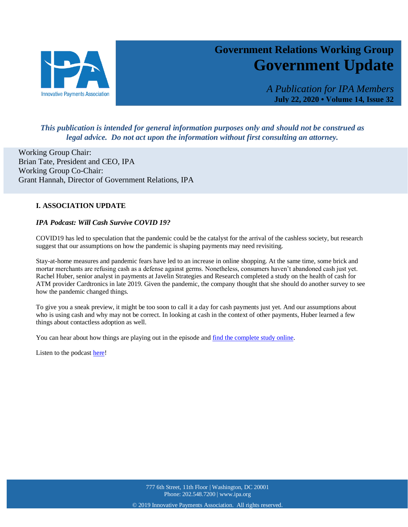

# **Government Relations Working Group Government Update**

*A Publication for IPA Members* **July 22, 2020 • Volume 14, Issue 32**

27

# *This publication is intended for general information purposes only and should not be construed as legal advice. Do not act upon the information without first consulting an attorney.*

Working Group Chair: Brian Tate, President and CEO, IPA Working Group Co-Chair: Grant Hannah, Director of Government Relations, IPA

# **I. ASSOCIATION UPDATE**

## *IPA Podcast: Will Cash Survive COVID 19?*

COVID19 has led to speculation that the pandemic could be the catalyst for the arrival of the cashless society, but research suggest that our assumptions on how the pandemic is shaping payments may need revisiting.

Stay-at-home measures and pandemic fears have led to an increase in online shopping. At the same time, some brick and mortar merchants are refusing cash as a defense against germs. Nonetheless, consumers haven't abandoned cash just yet. Rachel Huber, senior analyst in payments at Javelin Strategies and Research completed a study on the health of cash for ATM provider Cardtronics in late 2019. Given the pandemic, the company thought that she should do another survey to see how the pandemic changed things.

To give you a sneak preview, it might be too soon to call it a day for cash payments just yet. And our assumptions about who is using cash and why may not be correct. In looking at cash in the context of other payments, Huber learned a few things about contactless adoption as well.

You can hear about how things are playing out in the episode and [find the complete study online.](https://www.cardtronics.com/landing/HealthOfCash.aspx#:~:text=Cardtronics%20sponsored%20Javelin%20Strategy%20and%20Research%20to%20conduct,COVID-19%20pandemic%20and%20economic%20response%20in%20April%202020)

Listen to the podcas[t here!](https://www.ipa.org/podcast.html)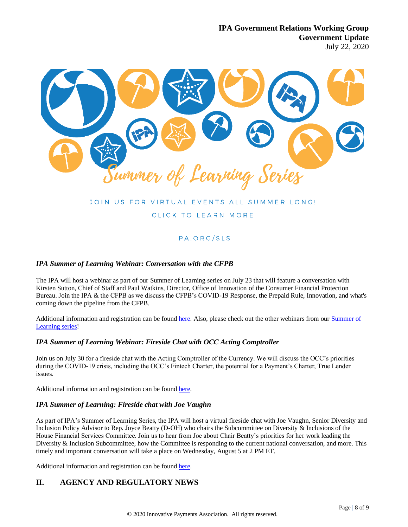

# JOIN US FOR VIRTUAL EVENTS ALL SUMMER LONG!

# CLICK TO LEARN MORE

# IPA.ORG/SLS

## *IPA Summer of Learning Webinar: Conversation with the CFPB*

The IPA will host a webinar as part of our Summer of Learning series on July 23 that will feature a conversation with Kirsten Sutton, Chief of Staff and Paul Watkins, Director, Office of Innovation of the Consumer Financial Protection Bureau. Join the IPA & the CFPB as we discuss the CFPB's COVID-19 Response, the Prepaid Rule, Innovation, and what's coming down the pipeline from the CFPB.

Additional information and registration can be foun[d here.](https://web.ipa.org/events/IPASpeaks%20with%20the%20CFPB-32/details) Also, please check out the other webinars from our [Summer of](https://www.ipa.org/sls.html)  [Learning series!](https://www.ipa.org/sls.html)

#### *IPA Summer of Learning Webinar: Fireside Chat with OCC Acting Comptroller*

Join us on July 30 for a fireside chat with the Acting Comptroller of the Currency. We will discuss the OCC's priorities during the COVID-19 crisis, including the OCC's Fintech Charter, the potential for a Payment's Charter, True Lender issues.

Additional information and registration can be found [here.](https://web.ipa.org/events/Fireside-Chat-with-the-OCC-17/details)

#### *IPA Summer of Learning: Fireside chat with Joe Vaughn*

As part of IPA's Summer of Learning Series, the IPA will host a virtual fireside chat with Joe Vaughn, Senior Diversity and Inclusion Policy Advisor to Rep. Joyce Beatty (D-OH) who chairs the Subcommittee on Diversity & Inclusions of the House Financial Services Committee. Join us to hear from Joe about Chair Beatty's priorities for her work leading the Diversity & Inclusion Subcommittee, how the Committee is responding to the current national conversation, and more. This timely and important conversation will take a place on Wednesday, August 5 at 2 PM ET.

Additional information and registration can be found [here.](https://web.ipa.org/events/Fireside-Chat-with-Joe-Vaughn-1033/details)

# **II. AGENCY AND REGULATORY NEWS**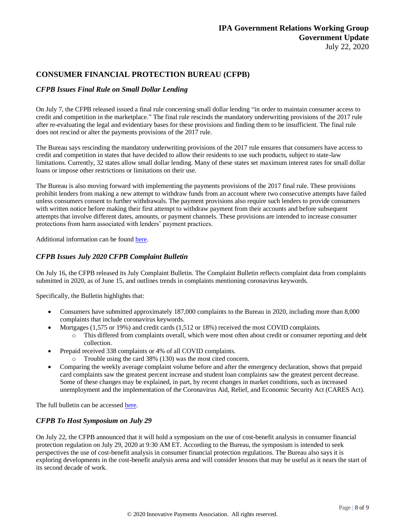# **CONSUMER FINANCIAL PROTECTION BUREAU (CFPB)**

# *CFPB Issues Final Rule on Small Dollar Lending*

On July 7, the CFPB released issued a final rule concerning small dollar lending "in order to maintain consumer access to credit and competition in the marketplace." The final rule rescinds the mandatory underwriting provisions of the 2017 rule after re-evaluating the legal and evidentiary bases for these provisions and finding them to be insufficient. The final rule does not rescind or alter the payments provisions of the 2017 rule.

The Bureau says rescinding the mandatory underwriting provisions of the 2017 rule ensures that consumers have access to credit and competition in states that have decided to allow their residents to use such products, subject to state-law limitations. Currently, 32 states allow small dollar lending. Many of these states set maximum interest rates for small dollar loans or impose other restrictions or limitations on their use.

The Bureau is also moving forward with implementing the payments provisions of the 2017 final rule. These provisions prohibit lenders from making a new attempt to withdraw funds from an account where two consecutive attempts have failed unless consumers consent to further withdrawals. The payment provisions also require such lenders to provide consumers with written notice before making their first attempt to withdraw payment from their accounts and before subsequent attempts that involve different dates, amounts, or payment channels. These provisions are intended to increase consumer protections from harm associated with lenders' payment practices.

Additional information can be found [here.](https://www.consumerfinance.gov/about-us/newsroom/cfpb-issues-final-rule-small-dollar-lending/)

# *CFPB Issues July 2020 CFPB Complaint Bulletin*

On July 16, the CFPB released its July Complaint Bulletin. The Complaint Bulletin reflects complaint data from complaints submitted in 2020, as of June 15, and outlines trends in complaints mentioning coronavirus keywords.

Specifically, the Bulletin highlights that:

- Consumers have submitted approximately 187,000 complaints to the Bureau in 2020, including more than 8,000 complaints that include coronavirus keywords.
- Mortgages (1,575 or 19%) and credit cards (1,512 or 18%) received the most COVID complaints.
	- o This differed from complaints overall, which were most often about credit or consumer reporting and debt collection.
- Prepaid received 338 complaints or 4% of all COVID complaints.
	- o Trouble using the card 38% (130) was the most cited concern.
- Comparing the weekly average complaint volume before and after the emergency declaration, shows that prepaid card complaints saw the greatest percent increase and student loan complaints saw the greatest percent decrease. Some of these changes may be explained, in part, by recent changes in market conditions, such as increased unemployment and the implementation of the Coronavirus Aid, Relief, and Economic Security Act (CARES Act).

The full bulletin can be accessed [here.](https://www.consumerfinance.gov/data-research/research-reports/complaint-bulletin-complaints-mentioning-coronavirus-keywords-july-2020/)

# *CFPB To Host Symposium on July 29*

On July 22, the CFPB announced that it will hold a symposium on the use of cost-benefit analysis in consumer financial protection regulation on July 29, 2020 at 9:30 AM ET. According to the Bureau, the symposium is intended to seek perspectives the use of cost-benefit analysis in consumer financial protection regulations. The Bureau also says it is exploring developments in the cost-benefit analysis arena and will consider lessons that may be useful as it nears the start of its second decade of work.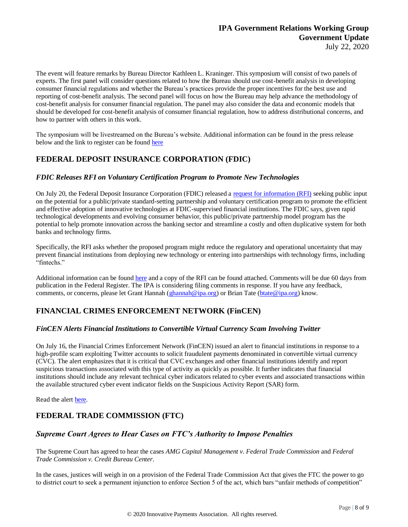The event will feature remarks by Bureau Director Kathleen L. Kraninger. This symposium will consist of two panels of experts. The first panel will consider questions related to how the Bureau should use cost-benefit analysis in developing consumer financial regulations and whether the Bureau's practices provide the proper incentives for the best use and reporting of cost-benefit analysis. The second panel will focus on how the Bureau may help advance the methodology of cost-benefit analysis for consumer financial regulation. The panel may also consider the data and economic models that should be developed for cost-benefit analysis of consumer financial regulation, how to address distributional concerns, and how to partner with others in this work.

The symposium will be livestreamed on the Bureau's website. Additional information can be found in the press release below and the link to register can be foun[d here](https://www.consumerfinance.gov/about-us/events/cfpb-symposium-cost-benefit-analysis-consumer-financial-protection-regulation/)

# **FEDERAL DEPOSIT INSURANCE CORPORATION (FDIC)**

## *FDIC Releases RFI on Voluntary Certification Program to Promote New Technologies*

On July 20, the Federal Deposit Insurance Corporation (FDIC) released a [request for information \(RFI\)](https://www.fdic.gov/news/press-releases/2020/pr20083a.pdf) seeking public input on the potential for a public/private standard-setting partnership and voluntary certification program to promote the efficient and effective adoption of innovative technologies at FDIC-supervised financial institutions. The FDIC says, given rapid technological developments and evolving consumer behavior, this public/private partnership model program has the potential to help promote innovation across the banking sector and streamline a costly and often duplicative system for both banks and technology firms.

Specifically, the RFI asks whether the proposed program might reduce the regulatory and operational uncertainty that may prevent financial institutions from deploying new technology or entering into partnerships with technology firms, including "fintechs."

Additional information can be found [here](https://www.fdic.gov/news/press-releases/2020/pr20083.html) and a copy of the RFI can be found attached. Comments will be due 60 days from publication in the Federal Register. The IPA is considering filing comments in response. If you have any feedback, comments, or concerns, please let Grant Hannah [\(ghannah@ipa.org\)](mailto:ghannah@ipa.org) or Brian Tate [\(btate@ipa.org\)](mailto:btate@ipa.org) know.

# **FINANCIAL CRIMES ENFORCEMENT NETWORK (FinCEN)**

# *FinCEN Alerts Financial Institutions to Convertible Virtual Currency Scam Involving Twitter*

On July 16, the Financial Crimes Enforcement Network (FinCEN) issued an alert to financial institutions in response to a high-profile scam exploiting Twitter accounts to solicit fraudulent payments denominated in convertible virtual currency (CVC). The alert emphasizes that it is critical that CVC exchanges and other financial institutions identify and report suspicious transactions associated with this type of activity as quickly as possible. It further indicates that financial institutions should include any relevant technical cyber indicators related to cyber events and associated transactions within the available structured cyber event indicator fields on the Suspicious Activity Report (SAR) form.

Read the alert [here](https://www.fincen.gov/sites/default/files/2020-07/FinCEN%20Alert%20Twitter_508%20FINAL.pdf)*.*

# **FEDERAL TRADE COMMISSION (FTC)**

# *Supreme Court Agrees to Hear Cases on FTC's Authority to Impose Penalties*

The Supreme Court has agreed to hear the cases *AMG Capital Management v. Federal Trade Commission* and *Federal Trade Commission v. Credit Bureau Center*.

In the cases, justices will weigh in on a provision of the Federal Trade Commission Act that gives the FTC the power to go to district court to seek a permanent injunction to enforce Section 5 of the act, which bars "unfair methods of competition"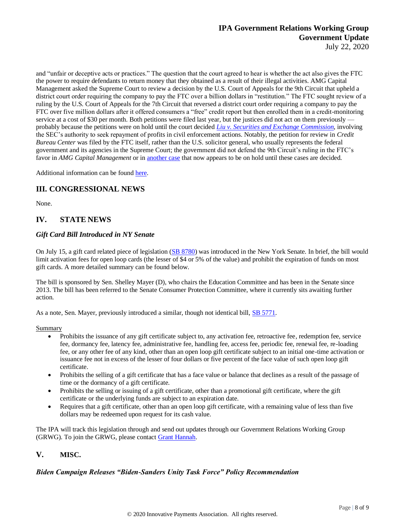and "unfair or deceptive acts or practices." The question that the court agreed to hear is whether the act also gives the FTC the power to require defendants to return money that they obtained as a result of their illegal activities. AMG Capital Management asked the Supreme Court to review a decision by the U.S. Court of Appeals for the 9th Circuit that upheld a district court order requiring the company to pay the FTC over a billion dollars in "restitution." The FTC sought review of a ruling by the U.S. Court of Appeals for the 7th Circuit that reversed a district court order requiring a company to pay the FTC over five million dollars after it offered consumers a "free" credit report but then enrolled them in a credit-monitoring service at a cost of \$30 per month. Both petitions were filed last year, but the justices did not act on them previously probably because the petitions were on hold until the court decided *Liu v. Securities and Exchange [Commission](https://www.scotusblog.com/case-files/cases/liu-v-securities-and-exchange-commission/)*, involving the SEC's authority to seek repayment of profits in civil enforcement actions. Notably, the petition for review in *Credit Bureau Center* was filed by the FTC itself, rather than the U.S. solicitor general, who usually represents the federal government and its agencies in the Supreme Court; the government did not defend the 9th Circuit's ruling in the FTC's favor in *AMG Capital Management* or in [another](https://www.scotusblog.com/case-files/cases/publishers-business-services-inc-v-federal-trade-commission-2/) case that now appears to be on hold until these cases are decided.

Additional information can be found [here.](https://www.scotusblog.com/2020/07/before-the-summer-recess-one-last-set-of-grants/)

# **III. CONGRESSIONAL NEWS**

None.

# **IV. STATE NEWS**

## *Gift Card Bill Introduced in NY Senate*

On July 15, a gift card related piece of legislation [\(SB 8780\)](https://www.nysenate.gov/legislation/bills/2019/s8780) was introduced in the New York Senate. In brief, the bill would limit activation fees for open loop cards (the lesser of \$4 or 5% of the value) and prohibit the expiration of funds on most gift cards. A more detailed summary can be found below.

The bill is sponsored by Sen. Shelley Mayer (D), who chairs the Education Committee and has been in the Senate since 2013. The bill has been referred to the Senate Consumer Protection Committee, where it currently sits awaiting further action.

As a note, Sen. Mayer, previously introduced a similar, though not identical bill, [SB 5771.](https://legislation.nysenate.gov/pdf/bills/2019/S5771A)

Summary

- Prohibits the issuance of any gift certificate subject to, any activation fee, retroactive fee, redemption fee, service fee, dormancy fee, latency fee, administrative fee, handling fee, access fee, periodic fee, renewal fee, re-loading fee, or any other fee of any kind, other than an open loop gift certificate subject to an initial one-time activation or issuance fee not in excess of the lesser of four dollars or five percent of the face value of such open loop gift certificate.
- Prohibits the selling of a gift certificate that has a face value or balance that declines as a result of the passage of time or the dormancy of a gift certificate.
- Prohibits the selling or issuing of a gift certificate, other than a promotional gift certificate, where the gift certificate or the underlying funds are subject to an expiration date.
- Requires that a gift certificate, other than an open loop gift certificate, with a remaining value of less than five dollars may be redeemed upon request for its cash value.

The IPA will track this legislation through and send out updates through our Government Relations Working Group (GRWG). To join the GRWG, please contact [Grant Hannah.](mailto:ghannah@ipa.org)

# **V. MISC.**

# *Biden Campaign Releases "Biden-Sanders Unity Task Force" Policy Recommendation*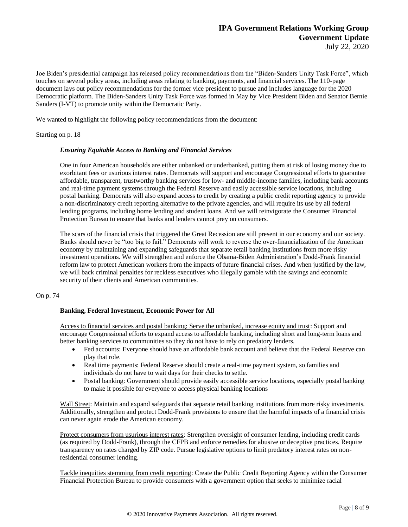Joe Biden's presidential campaign has released policy recommendations from the "Biden-Sanders Unity Task Force", which touches on several policy areas, including areas relating to banking, payments, and financial services. The 110-page document lays out policy recommendations for the former vice president to pursue and includes language for the 2020 Democratic platform. The Biden-Sanders Unity Task Force was formed in May by Vice President Biden and Senator Bernie Sanders (I-VT) to promote unity within the Democratic Party.

We wanted to highlight the following policy recommendations from the document:

#### Starting on p. 18 –

#### *Ensuring Equitable Access to Banking and Financial Services*

One in four American households are either unbanked or underbanked, putting them at risk of losing money due to exorbitant fees or usurious interest rates. Democrats will support and encourage Congressional efforts to guarantee affordable, transparent, trustworthy banking services for low- and middle-income families, including bank accounts and real-time payment systems through the Federal Reserve and easily accessible service locations, including postal banking. Democrats will also expand access to credit by creating a public credit reporting agency to provide a non-discriminatory credit reporting alternative to the private agencies, and will require its use by all federal lending programs, including home lending and student loans. And we will reinvigorate the Consumer Financial Protection Bureau to ensure that banks and lenders cannot prey on consumers.

The scars of the financial crisis that triggered the Great Recession are still present in our economy and our society. Banks should never be "too big to fail." Democrats will work to reverse the over-financialization of the American economy by maintaining and expanding safeguards that separate retail banking institutions from more risky investment operations. We will strengthen and enforce the Obama-Biden Administration's Dodd-Frank financial reform law to protect American workers from the impacts of future financial crises. And when justified by the law, we will back criminal penalties for reckless executives who illegally gamble with the savings and economic security of their clients and American communities.

#### On p. 74 –

#### **Banking, Federal Investment, Economic Power for All**

Access to financial services and postal banking: Serve the unbanked, increase equity and trust: Support and encourage Congressional efforts to expand access to affordable banking, including short and long-term loans and better banking services to communities so they do not have to rely on predatory lenders.

- Fed accounts: Everyone should have an affordable bank account and believe that the Federal Reserve can play that role.
- Real time payments: Federal Reserve should create a real-time payment system, so families and individuals do not have to wait days for their checks to settle.
- Postal banking: Government should provide easily accessible service locations, especially postal banking to make it possible for everyone to access physical banking locations

Wall Street: Maintain and expand safeguards that separate retail banking institutions from more risky investments. Additionally, strengthen and protect Dodd-Frank provisions to ensure that the harmful impacts of a financial crisis can never again erode the American economy.

Protect consumers from usurious interest rates: Strengthen oversight of consumer lending, including credit cards (as required by Dodd-Frank), through the CFPB and enforce remedies for abusive or deceptive practices. Require transparency on rates charged by ZIP code. Pursue legislative options to limit predatory interest rates on nonresidential consumer lending.

Tackle inequities stemming from credit reporting: Create the Public Credit Reporting Agency within the Consumer Financial Protection Bureau to provide consumers with a government option that seeks to minimize racial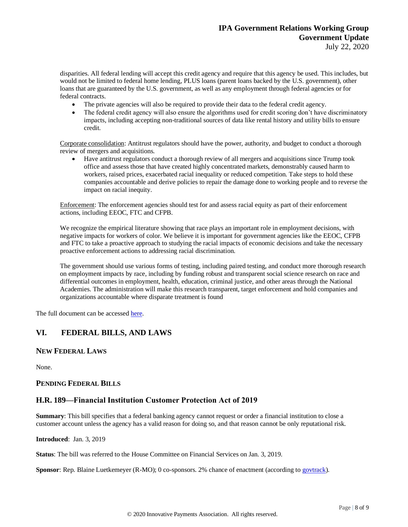disparities. All federal lending will accept this credit agency and require that this agency be used. This includes, but would not be limited to federal home lending, PLUS loans (parent loans backed by the U.S. government), other loans that are guaranteed by the U.S. government, as well as any employment through federal agencies or for federal contracts.

- The private agencies will also be required to provide their data to the federal credit agency.
- The federal credit agency will also ensure the algorithms used for credit scoring don't have discriminatory impacts, including accepting non-traditional sources of data like rental history and utility bills to ensure credit.

Corporate consolidation: Antitrust regulators should have the power, authority, and budget to conduct a thorough review of mergers and acquisitions.

• Have antitrust regulators conduct a thorough review of all mergers and acquisitions since Trump took office and assess those that have created highly concentrated markets, demonstrably caused harm to workers, raised prices, exacerbated racial inequality or reduced competition. Take steps to hold these companies accountable and derive policies to repair the damage done to working people and to reverse the impact on racial inequity.

Enforcement: The enforcement agencies should test for and assess racial equity as part of their enforcement actions, including EEOC, FTC and CFPB.

We recognize the empirical literature showing that race plays an important role in employment decisions, with negative impacts for workers of color. We believe it is important for government agencies like the EEOC, CFPB and FTC to take a proactive approach to studying the racial impacts of economic decisions and take the necessary proactive enforcement actions to addressing racial discrimination.

The government should use various forms of testing, including paired testing, and conduct more thorough research on employment impacts by race, including by funding robust and transparent social science research on race and differential outcomes in employment, health, education, criminal justice, and other areas through the National Academies. The administration will make this research transparent, target enforcement and hold companies and organizations accountable where disparate treatment is found

The full document can be accessed [here.](https://joebiden.com/wp-content/uploads/2020/07/UNITY-TASK-FORCE-RECOMMENDATIONS.pdf)

# **VI. FEDERAL BILLS, AND LAWS**

# **NEW FEDERAL LAWS**

None.

#### **PENDING FEDERAL BILLS**

# **H.R. 189—Financial Institution Customer Protection Act of 2019**

**Summary**: This bill specifies that a federal banking agency cannot request or order a financial institution to close a customer account unless the agency has a valid reason for doing so, and that reason cannot be only reputational risk.

**Introduced**: Jan. 3, 2019

**Status**: The bill was referred to the House Committee on Financial Services on Jan. 3, 2019.

**Sponsor**: Rep. Blaine Luetkemeyer (R-MO); 0 co-sponsors. 2% chance of enactment (according t[o govtrack\)](https://www.govtrack.us/congress/bills/116/hr189).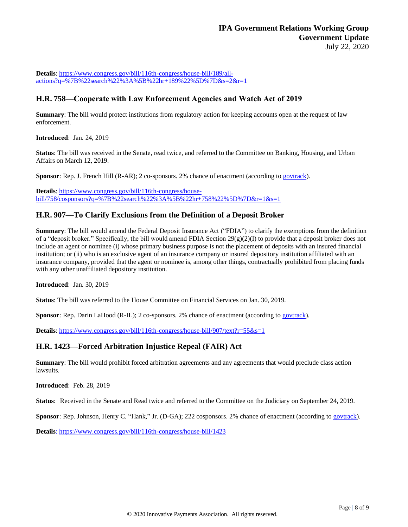**Details**: [https://www.congress.gov/bill/116th-congress/house-bill/189/all](https://www.congress.gov/bill/116th-congress/house-bill/189/all-actions?q=%7B%22search%22%3A%5B%22hr+189%22%5D%7D&s=2&r=1)[actions?q=%7B%22search%22%3A%5B%22hr+189%22%5D%7D&s=2&r=1](https://www.congress.gov/bill/116th-congress/house-bill/189/all-actions?q=%7B%22search%22%3A%5B%22hr+189%22%5D%7D&s=2&r=1)

# **H.R. 758—Cooperate with Law Enforcement Agencies and Watch Act of 2019**

**Summary**: The bill would protect institutions from regulatory action for keeping accounts open at the request of law enforcement.

**Introduced**: Jan. 24, 2019

**Status**: The bill was received in the Senate, read twice, and referred to the Committee on Banking, Housing, and Urban Affairs on March 12, 2019.

**Sponsor**: Rep. J. French Hill (R-AR); 2 co-sponsors. 2% chance of enactment (according to [govtrack\)](https://www.govtrack.us/congress/bills/116/hr758).

**Details**: [https://www.congress.gov/bill/116th-congress/house](https://www.congress.gov/bill/116th-congress/house-bill/758/cosponsors?q=%7B%22search%22%3A%5B%22hr+758%22%5D%7D&r=1&s=1)[bill/758/cosponsors?q=%7B%22search%22%3A%5B%22hr+758%22%5D%7D&r=1&s=1](https://www.congress.gov/bill/116th-congress/house-bill/758/cosponsors?q=%7B%22search%22%3A%5B%22hr+758%22%5D%7D&r=1&s=1)

# **H.R. 907—To Clarify Exclusions from the Definition of a Deposit Broker**

**Summary**: The bill would amend the Federal Deposit Insurance Act ("FDIA") to clarify the exemptions from the definition of a "deposit broker." Specifically, the bill would amend FDIA Section 29(g)(2)(I) to provide that a deposit broker does not include an agent or nominee (i) whose primary business purpose is not the placement of deposits with an insured financial institution; or (ii) who is an exclusive agent of an insurance company or insured depository institution affiliated with an insurance company, provided that the agent or nominee is, among other things, contractually prohibited from placing funds with any other unaffiliated depository institution.

**Introduced**: Jan. 30, 2019

**Status**: The bill was referred to the House Committee on Financial Services on Jan. 30, 2019.

**Sponsor**: Rep. Darin LaHood (R-IL); 2 co-sponsors. 2% chance of enactment (according t[o govtrack\)](https://www.govtrack.us/congress/bills/116/hr907).

**Details**[: https://www.congress.gov/bill/116th-congress/house-bill/907/text?r=55&s=1](https://www.congress.gov/bill/116th-congress/house-bill/907/text?r=55&s=1)

# **H.R. 1423—Forced Arbitration Injustice Repeal (FAIR) Act**

**Summary**: The bill would prohibit forced arbitration agreements and any agreements that would preclude class action lawsuits.

**Introduced**: Feb. 28, 2019

**Status**: Received in the Senate and Read twice and referred to the Committee on the Judiciary on September 24, 2019.

**Sponsor**: Rep. Johnson, Henry C. "Hank," Jr. (D-GA); 222 cosponsors. 2% chance of enactment (according to [govtrack\)](https://www.govtrack.us/congress/bills/116/hr1423).

**Details**: <https://www.congress.gov/bill/116th-congress/house-bill/1423>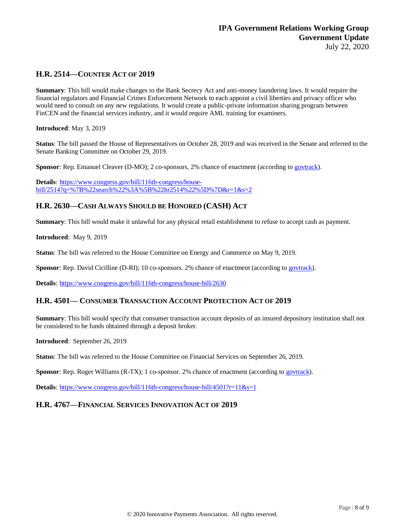# **H.R. 2514—COUNTER ACT OF 2019**

**Summary**: This bill would make changes to the Bank Secrecy Act and anti-money laundering laws. It would require the financial regulators and Financial Crimes Enforcement Network to each appoint a civil liberties and privacy officer who would need to consult on any new regulations. It would create a public-private information sharing program between FinCEN and the financial services industry, and it would require AML training for examiners.

**Introduced**: May 3, 2019

**Status**: The bill passed the House of Representatives on October 28, 2019 and was received in the Senate and referred to the Senate Banking Committee on October 29, 2019.

**Sponsor**: Rep. Emanuel Cleaver (D-MO); 2 co-sponsors, 2% chance of enactment (according to [govtrack\)](https://www.govtrack.us/congress/bills/116/hr2514).

**Details**: [https://www.congress.gov/bill/116th-congress/house](https://www.congress.gov/bill/116th-congress/house-bill/2514?q=%7B%22search%22%3A%5B%22hr2514%22%5D%7D&r=1&s=2)[bill/2514?q=%7B%22search%22%3A%5B%22hr2514%22%5D%7D&r=1&s=2](https://www.congress.gov/bill/116th-congress/house-bill/2514?q=%7B%22search%22%3A%5B%22hr2514%22%5D%7D&r=1&s=2)

# **H.R. 2630—CASH ALWAYS SHOULD BE HONORED (CASH) ACT**

**Summary**: This bill would make it unlawful for any physical retail establishment to refuse to accept cash as payment.

**Introduced**: May 9, 2019

**Status**: The bill was referred to the House Committee on Energy and Commerce on May 9, 2019.

**Sponsor**: Rep. David Cicilline (D-RI); 10 co-sponsors. 2% chance of enactment (according to [govtrack\)](https://www.govtrack.us/congress/bills/116/hr2630).

**Details**: <https://www.congress.gov/bill/116th-congress/house-bill/2630>

# **H.R. 4501— CONSUMER TRANSACTION ACCOUNT PROTECTION ACT OF 2019**

**Summary**: This bill would specify that consumer transaction account deposits of an insured depository institution shall not be considered to be funds obtained through a deposit broker.

**Introduced**: September 26, 2019

**Status**: The bill was referred to the House Committee on Financial Services on September 26, 2019.

**Sponsor**: Rep. Roger Williams (R-TX); 1 co-sponsor. 2% chance of enactment (according to [govtrack\)](https://www.govtrack.us/congress/bills/116/hr4501).

**Details**: <https://www.congress.gov/bill/116th-congress/house-bill/4501?r=11&s=1>

# **H.R. 4767—FINANCIAL SERVICES INNOVATION ACT OF 2019**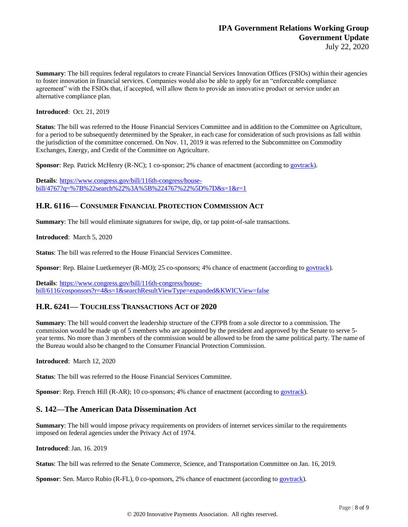**Summary**: The bill requires federal regulators to create Financial Services Innovation Offices (FSIOs) within their agencies to foster innovation in financial services. Companies would also be able to apply for an "enforceable compliance agreement" with the FSIOs that, if accepted, will allow them to provide an innovative product or service under an alternative compliance plan.

**Introduced**: Oct. 21, 2019

**Status**: The bill was referred to the House Financial Services Committee and in addition to the Committee on Agriculture, for a period to be subsequently determined by the Speaker, in each case for consideration of such provisions as fall within the jurisdiction of the committee concerned. On Nov. 11, 2019 it was referred to the Subcommittee on Commodity Exchanges, Energy, and Credit of the Committee on Agriculture.

**Sponsor**: Rep. Patrick McHenry (R-NC); 1 co-sponsor; 2% chance of enactment (according t[o govtrack\)](https://www.govtrack.us/congress/bills/116/hr4767).

**Details**: [https://www.congress.gov/bill/116th-congress/house](https://www.congress.gov/bill/116th-congress/house-bill/4767?q=%7B%22search%22%3A%5B%224767%22%5D%7D&s=1&r=1)[bill/4767?q=%7B%22search%22%3A%5B%224767%22%5D%7D&s=1&r=1](https://www.congress.gov/bill/116th-congress/house-bill/4767?q=%7B%22search%22%3A%5B%224767%22%5D%7D&s=1&r=1)

## **H.R. 6116— CONSUMER FINANCIAL PROTECTION COMMISSION ACT**

**Summary**: The bill would eliminate signatures for swipe, dip, or tap point-of-sale transactions.

**Introduced**: March 5, 2020

**Status**: The bill was referred to the House Financial Services Committee.

**Sponsor**: Rep. Blaine Luetkemeyer (R-MO); 25 co-sponsors; 4% chance of enactment (according to [govtrack\)](https://www.govtrack.us/congress/bills/116/hr6116).

**Details**: [https://www.congress.gov/bill/116th-congress/house](https://www.congress.gov/bill/116th-congress/house-bill/6116/cosponsors?r=4&s=1&searchResultViewType=expanded&KWICView=false)[bill/6116/cosponsors?r=4&s=1&searchResultViewType=expanded&KWICView=false](https://www.congress.gov/bill/116th-congress/house-bill/6116/cosponsors?r=4&s=1&searchResultViewType=expanded&KWICView=false)

# **H.R. 6241— TOUCHLESS TRANSACTIONS ACT OF 2020**

**Summary**: The bill would convert the leadership structure of the CFPB from a sole director to a commission. The commission would be made up of 5 members who are appointed by the president and approved by the Senate to serve 5 year terms. No more than 3 members of the commission would be allowed to be from the same political party. The name of the Bureau would also be changed to the Consumer Financial Protection Commission.

**Introduced**: March 12, 2020

**Status:** The bill was referred to the House Financial Services Committee.

**Sponsor**: Rep. French Hill (R-AR); 10 co-sponsors; 4% chance of enactment (according to [govtrack\)](https://www.govtrack.us/congress/bills/116/hr6116).

# **S. 142—The American Data Dissemination Act**

**Summary**: The bill would impose privacy requirements on providers of internet services similar to the requirements imposed on federal agencies under the Privacy Act of 1974.

**Introduced**: Jan. 16. 2019

**Status**: The bill was referred to the Senate Commerce, Science, and Transportation Committee on Jan. 16, 2019.

**Sponsor**: Sen. Marco Rubio (R-FL), 0 co-sponsors, 2% chance of enactment (according t[o govtrack\)](https://www.govtrack.us/congress/bills/116/s142).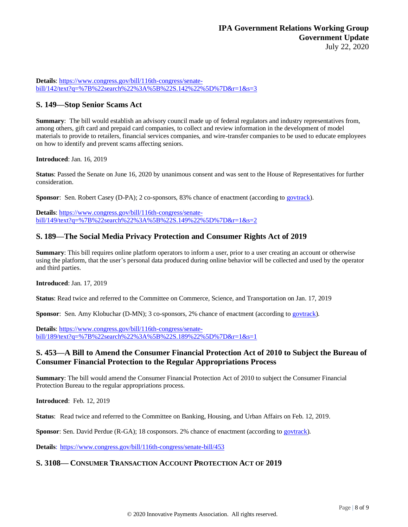**Details**[: https://www.congress.gov/bill/116th-congress/senate](https://www.congress.gov/bill/116th-congress/senate-bill/142/text?q=%7B%22search%22%3A%5B%22S.142%22%5D%7D&r=1&s=3)[bill/142/text?q=%7B%22search%22%3A%5B%22S.142%22%5D%7D&r=1&s=3](https://www.congress.gov/bill/116th-congress/senate-bill/142/text?q=%7B%22search%22%3A%5B%22S.142%22%5D%7D&r=1&s=3)

# **S. 149—Stop Senior Scams Act**

**Summary**: The bill would establish an advisory council made up of federal regulators and industry representatives from, among others, gift card and prepaid card companies, to collect and review information in the development of model materials to provide to retailers, financial services companies, and wire-transfer companies to be used to educate employees on how to identify and prevent scams affecting seniors.

**Introduced**: Jan. 16, 2019

**Status**: Passed the Senate on June 16, 2020 by unanimous consent and was sent to the House of Representatives for further consideration.

**Sponsor**: Sen. Robert Casey (D-PA); 2 co-sponsors, 83% chance of enactment (according to [govtrack\)](https://www.govtrack.us/congress/bills/116/s149).

**Details**[: https://www.congress.gov/bill/116th-congress/senate](https://www.congress.gov/bill/116th-congress/senate-bill/149/text?q=%7B%22search%22%3A%5B%22S.149%22%5D%7D&r=1&s=2)[bill/149/text?q=%7B%22search%22%3A%5B%22S.149%22%5D%7D&r=1&s=2](https://www.congress.gov/bill/116th-congress/senate-bill/149/text?q=%7B%22search%22%3A%5B%22S.149%22%5D%7D&r=1&s=2)

# **S. 189—The Social Media Privacy Protection and [Consumer](https://www.congress.gov/bill/116th-congress/senate-bill/189?q=%7B%22search%22%3A%5B%22S.+189%22%5D%7D&s=2&r=1) Rights Act of 2019**

**Summary**: This bill requires online platform operators to inform a user, prior to a user creating an account or otherwise using the platform, that the user's personal data produced during online behavior will be collected and used by the operator and third parties.

**Introduced**: Jan. 17, 2019

**Status**: Read twice and referred to the Committee on Commerce, Science, and Transportation on Jan. 17, 2019

**Sponsor**: Sen. Amy Klobuchar (D-MN); 3 co-sponsors, 2% chance of enactment (according to [govtrack\)](https://www.govtrack.us/congress/bills/116/s189).

**Details**[: https://www.congress.gov/bill/116th-congress/senate](https://www.congress.gov/bill/116th-congress/senate-bill/189/text?q=%7B%22search%22%3A%5B%22S.189%22%5D%7D&r=1&s=1)[bill/189/text?q=%7B%22search%22%3A%5B%22S.189%22%5D%7D&r=1&s=1](https://www.congress.gov/bill/116th-congress/senate-bill/189/text?q=%7B%22search%22%3A%5B%22S.189%22%5D%7D&r=1&s=1)

# **S. 453—A Bill to Amend the Consumer Financial Protection Act of 2010 to Subject the Bureau of Consumer Financial Protection to the Regular Appropriations Process**

**Summary**: The bill would amend the Consumer Financial Protection Act of 2010 to subject the Consumer Financial Protection Bureau to the regular appropriations process.

**Introduced**: Feb. 12, 2019

**Status**: Read twice and referred to the Committee on Banking, Housing, and Urban Affairs on Feb. 12, 2019.

**Sponsor**: Sen. David Perdue (R-GA); 18 cosponsors. 2% chance of enactment (according to [govtrack\)](https://www.govtrack.us/congress/bills/116/s453).

**Details**: <https://www.congress.gov/bill/116th-congress/senate-bill/453>

# **S. 3108— CONSUMER TRANSACTION ACCOUNT PROTECTION ACT OF 2019**